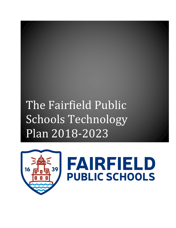## The Fairfield Public Schools Technology Plan 2018-2023



# FAIRFIELD **PUBLIC SCHOOLS**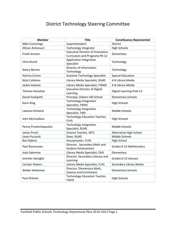## District Technology Steering Committee

| <b>Member</b>          | <b>Title</b>                                                       | <b>Constituency Represented</b> |
|------------------------|--------------------------------------------------------------------|---------------------------------|
| <b>Mike Cummings</b>   | Superintendent                                                     | <b>District</b>                 |
| Allison Antonucci      | <b>Technology Integrator</b>                                       | <b>High Schools</b>             |
| <b>Frank Arnone</b>    | Executive Director of Innovation,<br>Curriculum and Programs PK-12 | Elementary                      |
| <b>Chris Brand</b>     | Application Integration<br>Specialist                              | Technology                      |
| Nancy Byrnes           | Director of Information<br>Technology                              | Technology                      |
| Katrina Cronin         | <b>Assistive Technology Specialist</b>                             | <b>Special Education</b>        |
| Nicki Callahan         | Library Media Specialist, RLMS                                     | K-8 Library Media               |
| Jackie Galante         | Library Media Specialist, FWMS                                     | K-8 Library Media               |
| Thomas Honohan         | <b>Executive Director of Digital</b><br>Learning                   | <b>Digital Learning Prek-12</b> |
| David Hudspeth         | Principal, Osborn Hill School                                      | <b>Elementary Schools</b>       |
| <b>Karin King</b>      | <b>Technology Integration</b><br>Specialist, FWHS                  | <b>High Schools</b>             |
| Lakesha Kirkland       | <b>Technology Integration</b><br>Specialist, TMS                   | Middle Schools                  |
| John McCandless        | Technology Education Teacher,<br><b>FLHS</b>                       | <b>High Schools</b>             |
| Penny Proskinitopoulos | <b>Technology Integration</b><br>Specialist, RLMS                  | Middle Schools                  |
| James Pruitt           | Science Teacher, WFC                                               | Alternative High School         |
| Jason Purzycki         | Dean, RLMS                                                         | Middle Schools                  |
| <b>Bari Rabine</b>     | Housemaster, FLHS                                                  | <b>High School</b>              |
| Paul Rasmussen         | Director, Secondary Math and<br><b>Student Achievement</b>         | Grades 6-12 Mathematics         |
| <b>Judy Salemme</b>    | Library Media Specialist, OHS                                      | Elementary                      |
| Jennifer Swingler      | Director, Secondary Literacy and<br>Learning                       | Grades 6-12 Literacy            |
| Carolyn Waters         | Library Media Specialist, FLHS                                     | Secondary Library Media         |
| Walter Wakeman         | Director, Elementary Math,<br><b>Science and Enrichment</b>        | <b>Elementary Schools</b>       |
| Paul Zhitomi           | Technology Education Teacher,<br><b>FWHS</b>                       | <b>High Schools</b>             |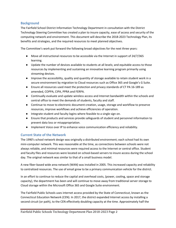#### **Background**

The Fairfield School District Information Technology Department in consultation with the District Technology Steering Committee has created a plan to insure capacity, ease of access and security of the computing network and environment. This document will describe the 2018-2023 Technology Plan, its benefits and strategies, and the required resources to meet planned objectives.

The Committee's work put forward the following broad objectives for the next three years:

- Move all instructional resources to be accessible via the Internet in support of 24/7/365 learning.
- Update the number of devices available to students at all levels; and equitable access to those resources by implementing and sustaining an innovative learning program primarily using streaming devices.
- Improve the accessibility, quality and quantity of storage available to retain student work in a secure environment by migration to Cloud resources such as Office 365 and Google's G Suite.
- Ensure all resources used meet the protection and privacy standards of CT PA 16-189 as amended, COPPA, CIPA, PPRA and FERPA.
- Continually evaluate and update wireless access and Internet bandwidth within the schools and central office to meet the demands of students, faculty and staff.
- Continue to move to electronic document creation, usage, storage and workflow to preserve resources, improve workflows and achieve efficiencies of operation.
- Integrate student and faculty logins where feasible to a single sign on.
- Ensure that products and services provide safeguards of student and personnel information to prevent data loss or misappropriation.
- Implement Voice over IP to enhance voice communication efficiency and reliability.

#### **Current State of the Network**

The 1990's school network design was originally a distributed environment; each school had its own mini-computer network. This was reasonable at the time, as connections between schools were not always reliable, and minimal resources were required access to the Internet or central office. Student and faculty files and resources were located on school-based servers to insure access during the school day. The original network was similar to that of a small business model.

A new fiber-based wide area network (WAN) was installed in 2005. This increased capacity and reliability to centralized resources. The use of email grew to be a primary communication vehicle for the district.

In an effort to continue to reduce the capital and overhead costs, (power, cooling, space and storage capacity), the department has been and will continue to move away from traditional server storage to Cloud storage within the Microsoft Office 365 and Google Suite environment.

The Fairfield Public Schools uses internet access provided by the State of Connecticut, known as the Connecticut Education Network (CEN). In 2017, the district expanded Internet access by installing a second circuit (or path), to the CEN effectively doubling capacity at the time. Approximately half the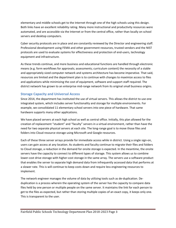elementary and middle schools get to the Internet through one of the high schools using this design. Both links have an excellent reliability rating. Many more instructional and productivity resources were automated, and are accessible via the Internet or from the central office, rather than locally on school servers and desktop computers.

Cyber security protocols are in place and are constantly reviewed by the Director and engineering staff. Professional development using FEMA and other government resources, trusted vendors and the NIST protocols are used to evaluate systems for effectiveness and protection of end-users, technology equipment and infrastructure.

As these trends continue, and more business and educational functions are handled through electronic means (e.g. form workflows for approvals; assessments; curriculum content) the necessity of a stable and appropriately sized computer network and systems architecture has become imperative. That said, resources are limited and the department plan is to continue with changes to maximize access to files and applications while minimizing the cost of equipment, software and support staff required. The district network has grown to an enterprise mid-range network from its original small business origins.

#### **Storage Capacity and Universal Access**

Since 2014, the department has instituted the use of virtual servers. This allows the district to use one integrated system, which includes server functionality and storage for multiple environments. For example, we consolidated 11 elementary school servers into one piece of hardware. That same hardware supports many other applications.

We have placed servers at each high school as well as central office. Initially, this plan allowed for the creation of replacement "student" and "faculty" servers in a virtual environment, rather than have the need for two separate physical servers at each site. The long-range goal is to move those files and folders into Cloud resource storage using Microsoft and Google resources.

Each of these three server arrays provide for immediate access while in district. Using a single sign-on, users can gain access at any location. As students and faculty continue to migrate their files and folders to Cloud storage, a reduction in the demand for onsite storage is expected. In the meantime, the onsite servers have the capacity to connect to different types of storage. This system allows us to combine lower-cost drive storage with higher-cost storage in the same array. The servers use a software product that enables the server to separate high demand data from infrequently accessed data that performs at a slower rate. This is will continue to keep costs down and require less engineering resources to implement.

The network engineer manages the volume of data by utilizing tools such as de-duplication. Deduplication is a process wherein the operating system of the server has the capacity to compare data files held by one person or multiple people on the same server. It maintains the link for each person to get to the files as expected, but rather than storing multiple copies of an exact copy, it keeps only one. This is transparent to the user.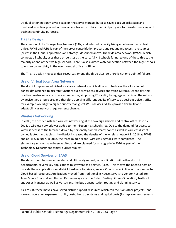De-duplication not only saves space on the server storage, but also saves back up disk space and overhead as critical production servers are backed up daily to a third party site for disaster recovery and business continuity purposes.

#### **Tri Site Design**

The creation of the Storage Area Network (SAN) and Internet capacity triangle between the central office, FWHS and FLHS is part of the server consolidation process and redundant access to resources (drives in the Cloud, applications and storage) described above. The wide area network (WAN), which connects all schools, uses these three sites as the core. All K-8 schools funnel to one of these three, the majority at one of the two high schools. There is also a direct WAN connection between the high schools to ensure connectivity in the event central office is offline.

The Tri Site design moves critical resources among the three sites, so there is not one point of failure.

#### **Use of Virtual Local Area Networks**

The district implemented virtual local area networks, which allows control over the allocation of bandwidth assigned to discrete functions such as wireless devices and voice systems. Essentially, this practice creates separate broadcast networks, simplifying IT's ability to segregate traffic on the network by device type or purpose, and therefore applying different quality of service as desired: Voice traffic, for example would get a higher priority than guest Wi-Fi devices. VLANs provide flexibility and adaptability as network requirements change.

#### **Wireless Networking**

In 2009, the district installed wireless networking at the two high schools and central office. In 2012- 2013, a wireless network was added to the thirteen K-8 school sites. Due to the demand for access to wireless access to the Internet, driven by personally owned smartphones as well as wireless district owned laptops and tablets, the district increased the density of the wireless network in 2016 at FWHS and at FLHS in 2017. In 2018, the three middle school wireless upgrades were completed. The elementary schools have been audited and are planned for an upgrade in 2020 as part of the Technology Department capital budget request.

#### **Use of Cloud Services or SAAS**

The department has recommended and ultimately moved, in coordination with other district departments, several key applications to software as a service, (SaaS). This moves the need to host or provide these applications on district hardware to private, secure Cloud space, in line with our move to Cloud-based resources. Applications moved from traditional in-house servers to vendor-hosted are: Tyler Munis Financial and Human Resources system, the Follett Destiny Library Circulation, Textbook and Asset Manager as well as Versatrans, the bus transportation routing and planning service.

As a result, these moves have saved district support resources which can focus on other projects, and lowered operating expenses in utility costs, backup systems and capital costs (for replacement servers).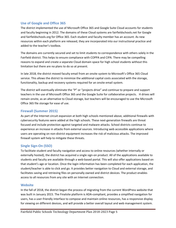#### **Use of Google and Office 365**

The district implemented the use of Microsoft Office 365 and Google Suite Cloud accounts for students and faculty beginning in 2012. The domains of these Cloud systems are fairfieldschools.net for Google and fairfieldschools.org for Office 365. Each student and faculty member has an account. As new resources within each platform are released, they are incorporated into our instructional practice and added to the teacher's toolbox.

The domains are currently secured and set to limit students to correspondence with others solely in the Fairfield district. This helps to ensure compliance with COPPA and CIPA. There may be compelling reasons to expand and create a separate Cloud domain space for high school students without this limitation but there are no plans to do so at present.

In late 2018, the district moved faculty email from an onsite system to Microsoft's Office 365 Cloud service. This allows the district to minimize the additional capital costs associated with the storage, functionality, backup and recovery systems required for an onsite email system.

The district will eventually eliminate the "P" or "projects drive" and continue to prepare and support teachers in the use of Microsoft Office 365 and the Google Suite for collaborative projects. H drives will remain onsite, as an alternative to Cloud storage, but teachers will be encouraged to use the Microsoft Office 365 file storage for ease of use.

#### **Firewall (Summer 2015)**

As part of the Internet circuit expansion at both high schools mentioned above, additional firewalls with cybersecurity features were added at the high schools. These next-generation firewalls are threat focused and include protection against targeted and malware attacks. School districts continue to experience an increase in attacks from external sources. Introducing web accessible applications where users are operating on non-district equipment increases the risk of malicious attacks. The improved firewall system will help to mitigate these threats.

#### **Single Sign-On (SSO)**

To facilitate student and faculty navigation and access to online resources (whether internally or externally hosted), the district has acquired a single sign-on product. All of the applications available to students and faculty are available through a web-based portal. This will also offer applications based on that student's age or location. Once the login information has been completed for each application, the student/teacher is able to click and go. It provides better navigation to Cloud and external storage, and facilitates saving and retrieving files on personally owned and district devices. The product enables access to all resources from any site with an Internet connection.

#### **Website**

In the fall of 2018, the district began the process of migrating from the current WordPress website that was built in January 2015. The Finalsite platform is ADA-compliant, provides a simplified navigation for users, has a user-friendly interface to compose and maintain online resources, has a responsive display for viewing on different devices, and will provide a better overall layout and web management system.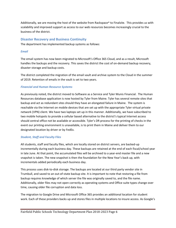Additionally, we are moving the host of the website from Rackspace® to Finalsite. This provides us with scalability and improved support as access to our web resources becomes increasingly crucial to the business of the district.

#### **Disaster Recovery and Business Continuity**

The department has implemented backup systems as follows:

#### *Email*

The email system has now been migrated to Microsoft's Office 365 Cloud, and as a result, Microsoft handles the backups and the recovery. This saves the district the cost of on-demand backup recovery, disaster storage and backup costs.

The district completed the migration of the email vault and archive system to the Cloud in the summer of 2019. Retention of emails in the vault is set to two years.

#### *Financial and Human Resource Systems*

As previously noted, the district moved to Software as a Service and Tyler Munis Financial. The Human Resources database application is now hosted by Tyler from Maine. Tyler has several remote sites that backup and act as redundant sites should they have an elongated failure in Maine. The system is reachable via the Internet on mobile devices that are set up with the appropriate Tyler virtual private network (VPN) client. We have two laptops set up in this manner. Additionally, we have subscribed to two mobile hotspots to provide a cellular based alternative to the district's typical Internet access should central office not be available or accessible. Tyler's DR process for the printing of checks in the event our printing environment is unavailable, is to print them in Maine and deliver them to our designated location by driver or by FedEx.

#### *Student, Staff and Faculty Files*

All students, staff and faculty files, which are locally stored on district servers, are backed-up incrementally during each business day. These backups are retained at the end of each fiscal/school year in late June. At that point, the accumulated files will be archived to a year-end master file and a new snapshot is taken. The new snapshot is then the foundation for the New Year's back up, with incrementals added periodically each business day.

This process uses disk-to-disk storage. The backups are located at our third party vendor site in Trumbull, and saved to an out-of-state backup site. It is important to note that restoring a file from backup requires knowledge of which server the file was originally saved to, and the file name. Additionally, older files may not open correctly as operating systems and Office suite types change over time, causing older file corruption and data loss.

The migration to Google Drive and Microsoft Office 365 provides an additional location for student work. Each of these providers backs up and stores files in multiple locations to insure access. As Google's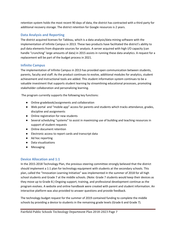retention system holds the most recent 90 days of data, the district has contracted with a third party for additional recovery storage. The district retention for Google resources is 2 years.

#### **Data Analysis and Reporting**

The district acquired licenses for Tableau, which is a data analysis/data mining software with the implementation of Infinite Campus in 2013. These two products have facilitated the district's ability to pull data elements from disparate sources for analysis. A server acquired with high I/O capacity (can handle "crunching" large amounts of data) in 2015 assists in running these data analytics. A request for a replacement will be part of the budget process in 2021.

#### **Infinite Campus**

The implementation of Infinite Campus in 2013 has provided open communication between students, parents, faculty and staff. As the product continues to evolve, additional modules for analytics, student achievement and instructional tools are added. This student information system continues to be a valuable investment that supports student learning by streamlining educational processes, promoting stakeholder collaboration and personalizing learning.

The program currently supports the following key functions:

- Online gradebook/assignments and collaboration
- Web portal and "mobile app" access for parents and students which tracks attendance, grades, discipline and assignments
- Online registration for new students
- Several scheduling "systems" to assist in maximizing use of building and teaching resources in support of student requests
- Online document retention
- Electronic access to report cards and transcript data
- Ad hoc reporting
- Data visualizations
- Messaging

#### **Device Allocation and 1:1**

In the 2015-2018 Technology Plan, the previous steering committee strongly believed that the district should implement a 1:1 plan for technology equipment with students at the secondary schools. This plan, called the "Innovation Learning Initiative" was implemented in the summer of 2018 for all high school students and Grade 7 at the middle schools. (Note: Grade 7 students would keep their devices as they move up to Grade 8.) Ongoing support, training, and professional development continue as the program evolves. A website and online handbook were created with parent and student information. An interactive platform was also provided to answer questions and provide feedback.

The technology budget request for the summer of 2019 contained funding to complete the middle schools by providing a device to students in the remaining grade levels (Grade 6 and Grade 7).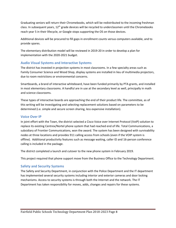Graduating seniors will return their Chromebooks, which will be redistributed to the incoming freshman class. In subsequent years, 12<sup>th</sup> grade devices will be recycled to underclassmen until the Chromebooks reach year 5 in their lifecycle, or Google stops supporting the OS on those devices.

Additional devices will be procured to fill gaps in enrollment counts versus computers available, and to provide spares.

The elementary distribution model will be reviewed in 2019-20 in order to develop a plan for implementation with the 2020-2021 budget.

#### **Audio Visual Systems and Interactive Systems**

The district has invested in projection systems in most classrooms. In a few specialty areas such as Family Consumer Science and Wood Shop, display systems are installed in lieu of multimedia projectors, due to room restrictions or environmental concerns.

Smartboards, a brand of interactive whiteboard, have been funded primarily by PTA grants, and installed in most elementary classrooms. A handful are in use at the secondary level as well, principally in math and science classrooms.

These types of interactive boards are approaching the end of their product life. The committee, as of this writing will be investigating and selecting replacement solutions based on parameters to be determined (i.e. simple and secure screen sharing, less expensive installation).

#### **Voice Over IP**

In joint effort with the Town, the district selected a Cisco Voice over Internet Protocol (VoIP) solution to replace its existing Centrex/Nortel phone system that had reached end of life. Total Communications, a subsidiary of Frontier Communications, won the award. The system has been designed with survivability nodes at three locations and provides 911 calling access from schools (even if the VOIP system is offline). Additional productivity features such as message waiting, caller ID and 16-person conference calling is included in the package.

The district completed a launch and cutover to the new phone system in February 2019.

This project required that phone support move from the Business Office to the Technology Department.

#### **Safety and Security Systems**

The Safety and Security Department, in conjunction with the Police Department and the IT department has implemented several security systems including interior and exterior cameras and door locking mechanisms. Access to security systems is through both the Internet and the network. The IT Department has taken responsibility for moves, adds, changes and repairs for these systems.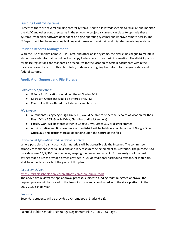#### **Building Control Systems**

Presently, there are several building control systems used to allow tradespeople to "dial in" and monitor the HVAC and other control systems in the schools. A project is currently in place to upgrade these systems (from older software dependent on aging operating systems) and improve remote access. The IT Department has been assisting building maintenance to maintain and migrate the existing systems.

#### **Student Records Management**

With the use of Infinite Campus, IEP Direct, and other online systems, the district has begun to maintain student records information online. Hard copy folders do exist for basic information. The district plans to formalize regulations and standardize procedures for the location of certain documents within the databases over the term of this plan. Policy updates are ongoing to conform to changes in state and federal statutes.

#### **Application Support and File Storage**

#### *Productivity Applications*

- G Suite for Education would be offered Grades 3-12
- Microsoft Office 365 would be offered PreK- 12
- ClassLink will be offered to all students and faculty

#### *File Storage*

- All students using Single Sign-On (SSO), would be able to select their choice of location for their files. (Office 365, Google Drive, ClassLink or district servers).
- Faculty work will be stored either in Google Drive, Office 365 or district storage.
- Administrative and Business work of the district will be held on a combination of Google Drive, Office 365 and district storage, depending upon the nature of the files.

#### *Instructional Applications and Curriculum Content*

Where possible, all district curricular materials will be accessible via the Internet. The committee strongly recommends that all text and ancillary resources selected meet this criterion. The purpose is to provide access 24/7/365 days per year, keeping the resources current. Future analysis of the cost savings that a district-provided device provides in lieu of traditional hardbound text and/or materials, shall be undertaken each of the years of this plan.

#### *Instructional Apps*

#### https://fairfieldschools.app.learnplatform.com/new/public/tools

The above site reviews the app approval process, subject to funding. With budgeted approval, the request process will be moved to the Learn Platform and coordinated with the state platform in the 2019-2020 school year.

#### *Students:*

Secondary students will be provided a Chromebook (Grades 6-12).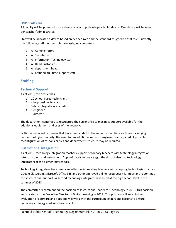#### *Faculty and Staff*

All faculty will be provided with a choice of a laptop, desktop or tablet device. One device will be issued per teacher/administrator.

Staff will be allocated a device based on defined role and the standard assigned to that role. Currently the following staff member roles are assigned computers:

- 1) All Administrators
- 2) All Secretaries
- 3) All Information Technology staff
- 4) All Head Custodians
- 5) All department heads
- 6) All certified, full time support staff

#### **Staffing**

#### **Technical Support**

As of 2019, the district has:

- 1. 10 school based technicians
- 2. 4 help desk technicians
- 3. 3 data integrators/ analysts
- 4. 1 engineer
- 5. 1 director

The department continues to restructure the current FTE to maximize support available for the additional equipment and uses of the network.

With the increased resources that have been added to the network over time and the challenging demands of cyber security, the need for an additional network engineer is anticipated. A possible reconfiguration of responsibilities and department structure may be required.

#### **Instructional Integration**

As of 2019, technology integration teachers support secondary teachers with technology integration into curriculum and instruction. Approximately ten years ago, the district also had technology integrators at the elementary schools.

Technology integrators have been very effective in assisting teachers with adopting technologies such as Google Classroom, Microsoft Office 365 and other approved online resources; it is important to continue this instructional support. A second technology integrator was hired at the high school level in the summer of 2018.

The committee recommended the position of Instructional leader for Technology in 2012. This position was created as the Executive Director of Digital Learning in 2018. This position will assist in the evaluation of software and apps and will work with the curriculum leaders and liaisons to ensure technology is integrated into the curriculum.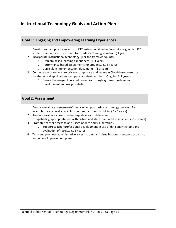### **Instructional Technology Goals and Action Plan**

#### **Goal 1: Engaging and Empowering Learning Experiences**

- 1. Develop and adopt a framework of K12 instructional technology skills aligned to ISTE student standards with exit skills for Grades 5, 8 and graduation. ( 1 year)
- 2. Incorporate instructional technology, (per the framework), into:
	- Problem based learning experiences. (1-3 years)
	- Performance based assessments for students. (1-3 years)
	- Curriculum implementation documents. (1-3 years)
- 3. Continue to curate, ensure privacy compliance and maintain Cloud-based resources, databases and applications to support student learning. (Ongoing 1-3 years)
	- Ensure the usage of curated resources through systemic professional development and usage statistics.

#### **Goal 2: Assessment**

- 1. Annually evaluate assessments' needs when purchasing technology devices. For example: grade level, curriculum content, and compatibility. ( 1 - 3 years)
- 2. Annually evaluate current technology devices to determine compatibility/appropriateness with district and state mandated assessments. (1-3 years)
- 3. Promote teacher access to and usage of data and visualizations.
	- Support teacher professional development in use of data analytic tools and evaluation of results. (1-3 years)
- 4. Train and promote administrative access to data and visualizations in support of district and school improvement plans.